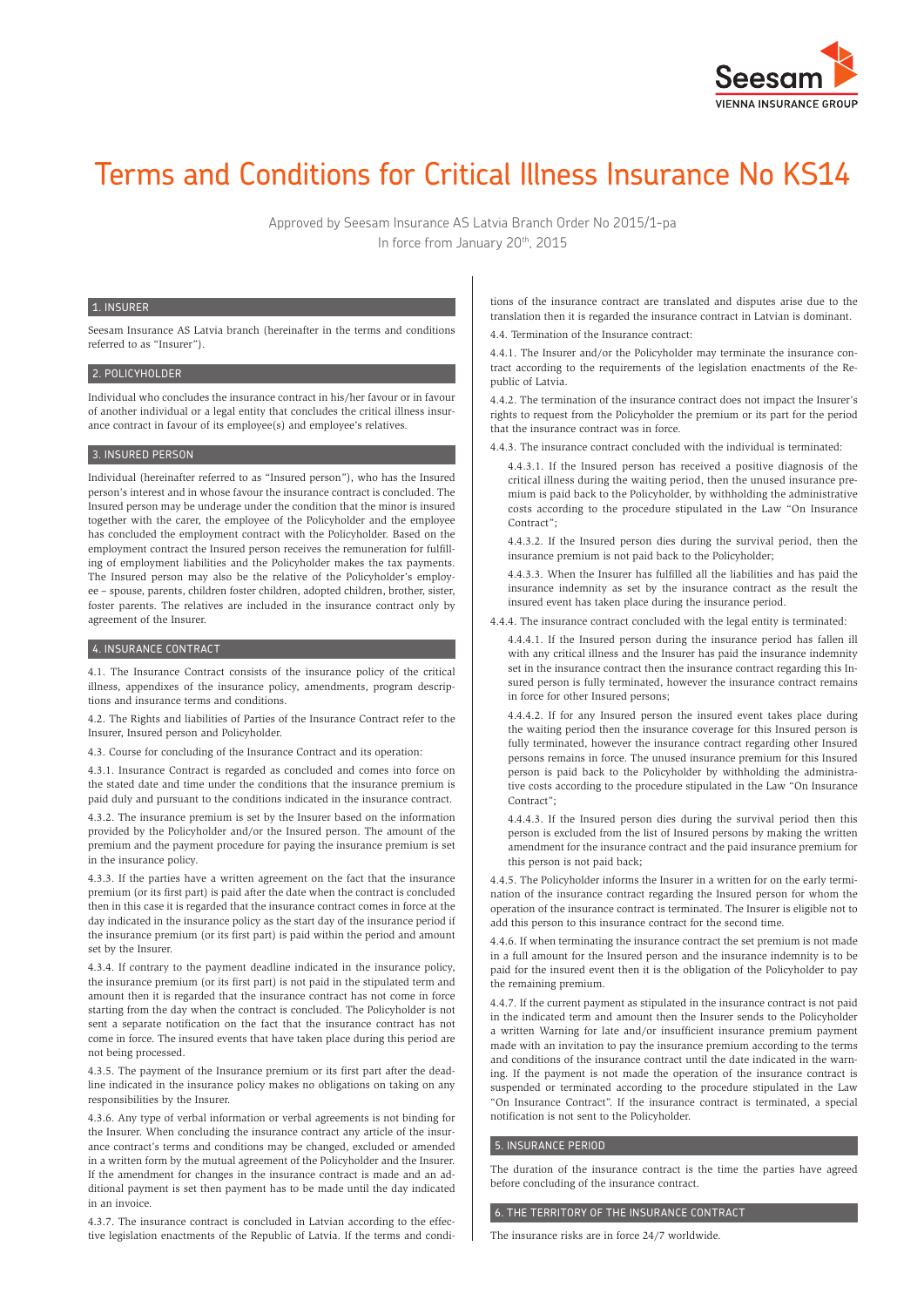

# Terms and Conditions for Critical Illness Insurance No KS14

Approved by Seesam Insurance AS Latvia Branch Order No 2015/1-pa In force from January 20<sup>th</sup>, 2015

#### 1. INSURER

Seesam Insurance AS Latvia branch (hereinafter in the terms and conditions referred to as "Insurer").

#### 2. POLICYHOLDER

Individual who concludes the insurance contract in his/her favour or in favour of another individual or a legal entity that concludes the critical illness insurance contract in favour of its employee(s) and employee's relatives.

#### 3. INSURED PERSON

Individual (hereinafter referred to as "Insured person"), who has the Insured person's interest and in whose favour the insurance contract is concluded. The Insured person may be underage under the condition that the minor is insured together with the carer, the employee of the Policyholder and the employee has concluded the employment contract with the Policyholder. Based on the employment contract the Insured person receives the remuneration for fulfilling of employment liabilities and the Policyholder makes the tax payments. The Insured person may also be the relative of the Policyholder's employee – spouse, parents, children foster children, adopted children, brother, sister, foster parents. The relatives are included in the insurance contract only by agreement of the Insurer.

## 4. INSURANCE CONTRACT

4.1. The Insurance Contract consists of the insurance policy of the critical illness, appendixes of the insurance policy, amendments, program descriptions and insurance terms and conditions.

4.2. The Rights and liabilities of Parties of the Insurance Contract refer to the Insurer, Insured person and Policyholder.

4.3. Course for concluding of the Insurance Contract and its operation:

4.3.1. Insurance Contract is regarded as concluded and comes into force on the stated date and time under the conditions that the insurance premium is paid duly and pursuant to the conditions indicated in the insurance contract.

4.3.2. The insurance premium is set by the Insurer based on the information provided by the Policyholder and/or the Insured person. The amount of the premium and the payment procedure for paying the insurance premium is set in the insurance policy.

4.3.3. If the parties have a written agreement on the fact that the insurance premium (or its first part) is paid after the date when the contract is concluded then in this case it is regarded that the insurance contract comes in force at the day indicated in the insurance policy as the start day of the insurance period if the insurance premium (or its first part) is paid within the period and amount set by the Insurer.

4.3.4. If contrary to the payment deadline indicated in the insurance policy, the insurance premium (or its first part) is not paid in the stipulated term and amount then it is regarded that the insurance contract has not come in force starting from the day when the contract is concluded. The Policyholder is not sent a separate notification on the fact that the insurance contract has not come in force. The insured events that have taken place during this period are not being processed.

4.3.5. The payment of the Insurance premium or its first part after the deadline indicated in the insurance policy makes no obligations on taking on any responsibilities by the Insurer.

4.3.6. Any type of verbal information or verbal agreements is not binding for the Insurer. When concluding the insurance contract any article of the insurance contract's terms and conditions may be changed, excluded or amended in a written form by the mutual agreement of the Policyholder and the Insurer. If the amendment for changes in the insurance contract is made and an additional payment is set then payment has to be made until the day indicated in an invoice.

4.3.7. The insurance contract is concluded in Latvian according to the effective legislation enactments of the Republic of Latvia. If the terms and conditions of the insurance contract are translated and disputes arise due to the translation then it is regarded the insurance contract in Latvian is dominant.

4.4. Termination of the Insurance contract:

4.4.1. The Insurer and/or the Policyholder may terminate the insurance contract according to the requirements of the legislation enactments of the Republic of Latvia.

4.4.2. The termination of the insurance contract does not impact the Insurer's rights to request from the Policyholder the premium or its part for the period that the insurance contract was in force.

4.4.3. The insurance contract concluded with the individual is terminated:

4.4.3.1. If the Insured person has received a positive diagnosis of the critical illness during the waiting period, then the unused insurance premium is paid back to the Policyholder, by withholding the administrative costs according to the procedure stipulated in the Law "On Insurance Contract";

4.4.3.2. If the Insured person dies during the survival period, then the insurance premium is not paid back to the Policyholder;

4.4.3.3. When the Insurer has fulfilled all the liabilities and has paid the insurance indemnity as set by the insurance contract as the result the insured event has taken place during the insurance period.

4.4.4. The insurance contract concluded with the legal entity is terminated:

4.4.4.1. If the Insured person during the insurance period has fallen ill with any critical illness and the Insurer has paid the insurance indemnity set in the insurance contract then the insurance contract regarding this Insured person is fully terminated, however the insurance contract remains in force for other Insured persons;

4.4.4.2. If for any Insured person the insured event takes place during the waiting period then the insurance coverage for this Insured person is fully terminated, however the insurance contract regarding other Insured persons remains in force. The unused insurance premium for this Insured person is paid back to the Policyholder by withholding the administrative costs according to the procedure stipulated in the Law "On Insurance Contract";

4.4.4.3. If the Insured person dies during the survival period then this person is excluded from the list of Insured persons by making the written amendment for the insurance contract and the paid insurance premium for this person is not paid back;

4.4.5. The Policyholder informs the Insurer in a written for on the early termination of the insurance contract regarding the Insured person for whom the operation of the insurance contract is terminated. The Insurer is eligible not to add this person to this insurance contract for the second time.

4.4.6. If when terminating the insurance contract the set premium is not made in a full amount for the Insured person and the insurance indemnity is to be paid for the insured event then it is the obligation of the Policyholder to pay the remaining premium.

4.4.7. If the current payment as stipulated in the insurance contract is not paid in the indicated term and amount then the Insurer sends to the Policyholder a written Warning for late and/or insufficient insurance premium payment made with an invitation to pay the insurance premium according to the terms and conditions of the insurance contract until the date indicated in the warning. If the payment is not made the operation of the insurance contract is suspended or terminated according to the procedure stipulated in the Law "On Insurance Contract". If the insurance contract is terminated, a special notification is not sent to the Policyholder.

## 5. INSURANCE PERIOD

The duration of the insurance contract is the time the parties have agreed before concluding of the insurance contract.

## 6. THE TERRITORY OF THE INSURANCE CONTRACT

The insurance risks are in force 24/7 worldwide.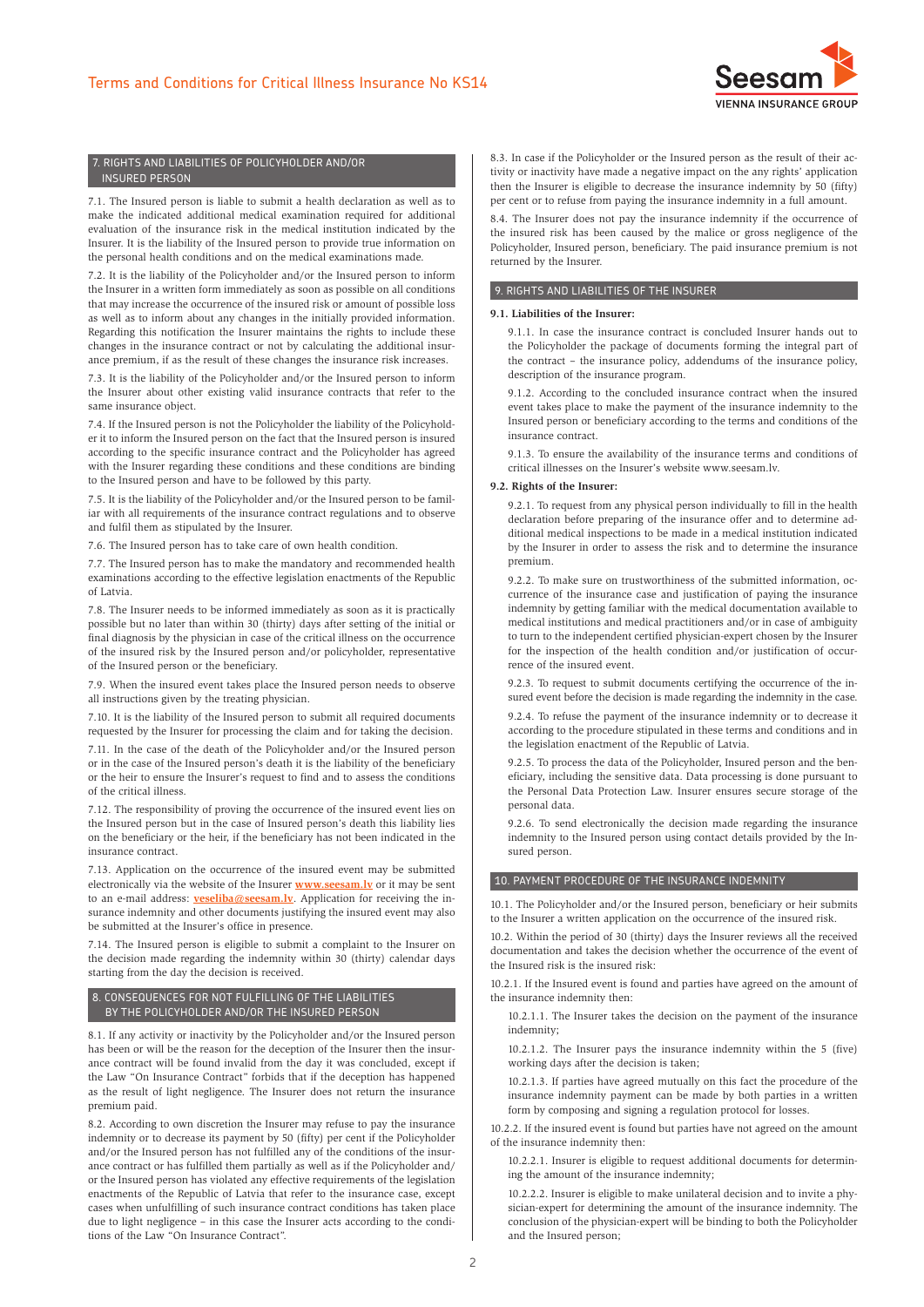

## 7. RIGHTS AND LIABILITIES OF POLICYHOLDER AND/OR INSURED PERSON

7.1. The Insured person is liable to submit a health declaration as well as to make the indicated additional medical examination required for additional evaluation of the insurance risk in the medical institution indicated by the Insurer. It is the liability of the Insured person to provide true information on the personal health conditions and on the medical examinations made.

7.2. It is the liability of the Policyholder and/or the Insured person to inform the Insurer in a written form immediately as soon as possible on all conditions that may increase the occurrence of the insured risk or amount of possible loss as well as to inform about any changes in the initially provided information. Regarding this notification the Insurer maintains the rights to include these changes in the insurance contract or not by calculating the additional insurance premium, if as the result of these changes the insurance risk increases.

7.3. It is the liability of the Policyholder and/or the Insured person to inform the Insurer about other existing valid insurance contracts that refer to the same insurance object.

7.4. If the Insured person is not the Policyholder the liability of the Policyholder it to inform the Insured person on the fact that the Insured person is insured according to the specific insurance contract and the Policyholder has agreed with the Insurer regarding these conditions and these conditions are binding to the Insured person and have to be followed by this party.

7.5. It is the liability of the Policyholder and/or the Insured person to be familiar with all requirements of the insurance contract regulations and to observe and fulfil them as stipulated by the Insurer.

7.6. The Insured person has to take care of own health condition.

7.7. The Insured person has to make the mandatory and recommended health examinations according to the effective legislation enactments of the Republic of Latvia.

7.8. The Insurer needs to be informed immediately as soon as it is practically possible but no later than within 30 (thirty) days after setting of the initial or final diagnosis by the physician in case of the critical illness on the occurrence of the insured risk by the Insured person and/or policyholder, representative of the Insured person or the beneficiary.

7.9. When the insured event takes place the Insured person needs to observe all instructions given by the treating physician.

7.10. It is the liability of the Insured person to submit all required documents requested by the Insurer for processing the claim and for taking the decision.

7.11. In the case of the death of the Policyholder and/or the Insured person or in the case of the Insured person's death it is the liability of the beneficiary or the heir to ensure the Insurer's request to find and to assess the conditions of the critical illness.

7.12. The responsibility of proving the occurrence of the insured event lies on the Insured person but in the case of Insured person's death this liability lies on the beneficiary or the heir, if the beneficiary has not been indicated in the insurance contract.

7.13. Application on the occurrence of the insured event may be submitted electronically via the website of the Insurer **[www.seesam.lv](http://www.seesam.lv)** or it may be sent to an e-mail address: **[veseliba@seesam.lv](mailto:veseliba%40seesam.lv?subject=Application)**. Application for receiving the insurance indemnity and other documents justifying the insured event may also be submitted at the Insurer's office in presence.

7.14. The Insured person is eligible to submit a complaint to the Insurer on the decision made regarding the indemnity within 30 (thirty) calendar days starting from the day the decision is received.

## 8. CONSEQUENCES FOR NOT FULFILLING OF THE LIABILITIES BY THE POLICYHOLDER AND/OR THE INSURED PERSON

8.1. If any activity or inactivity by the Policyholder and/or the Insured person has been or will be the reason for the deception of the Insurer then the insurance contract will be found invalid from the day it was concluded, except if the Law "On Insurance Contract" forbids that if the deception has happened as the result of light negligence. The Insurer does not return the insurance premium paid.

8.2. According to own discretion the Insurer may refuse to pay the insurance indemnity or to decrease its payment by 50 (fifty) per cent if the Policyholder and/or the Insured person has not fulfilled any of the conditions of the insurance contract or has fulfilled them partially as well as if the Policyholder and/ or the Insured person has violated any effective requirements of the legislation enactments of the Republic of Latvia that refer to the insurance case, except cases when unfulfilling of such insurance contract conditions has taken place due to light negligence – in this case the Insurer acts according to the conditions of the Law "On Insurance Contract".

8.3. In case if the Policyholder or the Insured person as the result of their activity or inactivity have made a negative impact on the any rights' application then the Insurer is eligible to decrease the insurance indemnity by 50 (fifty) per cent or to refuse from paying the insurance indemnity in a full amount.

8.4. The Insurer does not pay the insurance indemnity if the occurrence of the insured risk has been caused by the malice or gross negligence of the Policyholder, Insured person, beneficiary. The paid insurance premium is not returned by the Insurer.

## 9. RIGHTS AND LIABILITIES OF THE INSURER

# **9.1. Liabilities of the Insurer:**

9.1.1. In case the insurance contract is concluded Insurer hands out to the Policyholder the package of documents forming the integral part of the contract – the insurance policy, addendums of the insurance policy, description of the insurance program.

9.1.2. According to the concluded insurance contract when the insured event takes place to make the payment of the insurance indemnity to the Insured person or beneficiary according to the terms and conditions of the insurance contract.

9.1.3. To ensure the availability of the insurance terms and conditions of critical illnesses on the Insurer's website www.seesam.lv.

## **9.2. Rights of the Insurer:**

9.2.1. To request from any physical person individually to fill in the health declaration before preparing of the insurance offer and to determine additional medical inspections to be made in a medical institution indicated by the Insurer in order to assess the risk and to determine the insurance premium.

9.2.2. To make sure on trustworthiness of the submitted information, occurrence of the insurance case and justification of paying the insurance indemnity by getting familiar with the medical documentation available to medical institutions and medical practitioners and/or in case of ambiguity to turn to the independent certified physician-expert chosen by the Insurer for the inspection of the health condition and/or justification of occurrence of the insured event.

9.2.3. To request to submit documents certifying the occurrence of the insured event before the decision is made regarding the indemnity in the case.

9.2.4. To refuse the payment of the insurance indemnity or to decrease it according to the procedure stipulated in these terms and conditions and in the legislation enactment of the Republic of Latvia.

9.2.5. To process the data of the Policyholder, Insured person and the beneficiary, including the sensitive data. Data processing is done pursuant to the Personal Data Protection Law. Insurer ensures secure storage of the personal data.

9.2.6. To send electronically the decision made regarding the insurance indemnity to the Insured person using contact details provided by the Insured person.

## 10. PAYMENT PROCEDURE OF THE INSURANCE INDEMNITY

10.1. The Policyholder and/or the Insured person, beneficiary or heir submits to the Insurer a written application on the occurrence of the insured risk.

10.2. Within the period of 30 (thirty) days the Insurer reviews all the received documentation and takes the decision whether the occurrence of the event of the Insured risk is the insured risk:

10.2.1. If the Insured event is found and parties have agreed on the amount of the insurance indemnity then:

10.2.1.1. The Insurer takes the decision on the payment of the insurance indemnity;

10.2.1.2. The Insurer pays the insurance indemnity within the 5 (five) working days after the decision is taken;

10.2.1.3. If parties have agreed mutually on this fact the procedure of the insurance indemnity payment can be made by both parties in a written form by composing and signing a regulation protocol for losses.

10.2.2. If the insured event is found but parties have not agreed on the amount of the insurance indemnity then:

10.2.2.1. Insurer is eligible to request additional documents for determining the amount of the insurance indemnity;

10.2.2.2. Insurer is eligible to make unilateral decision and to invite a physician-expert for determining the amount of the insurance indemnity. The conclusion of the physician-expert will be binding to both the Policyholder and the Insured person;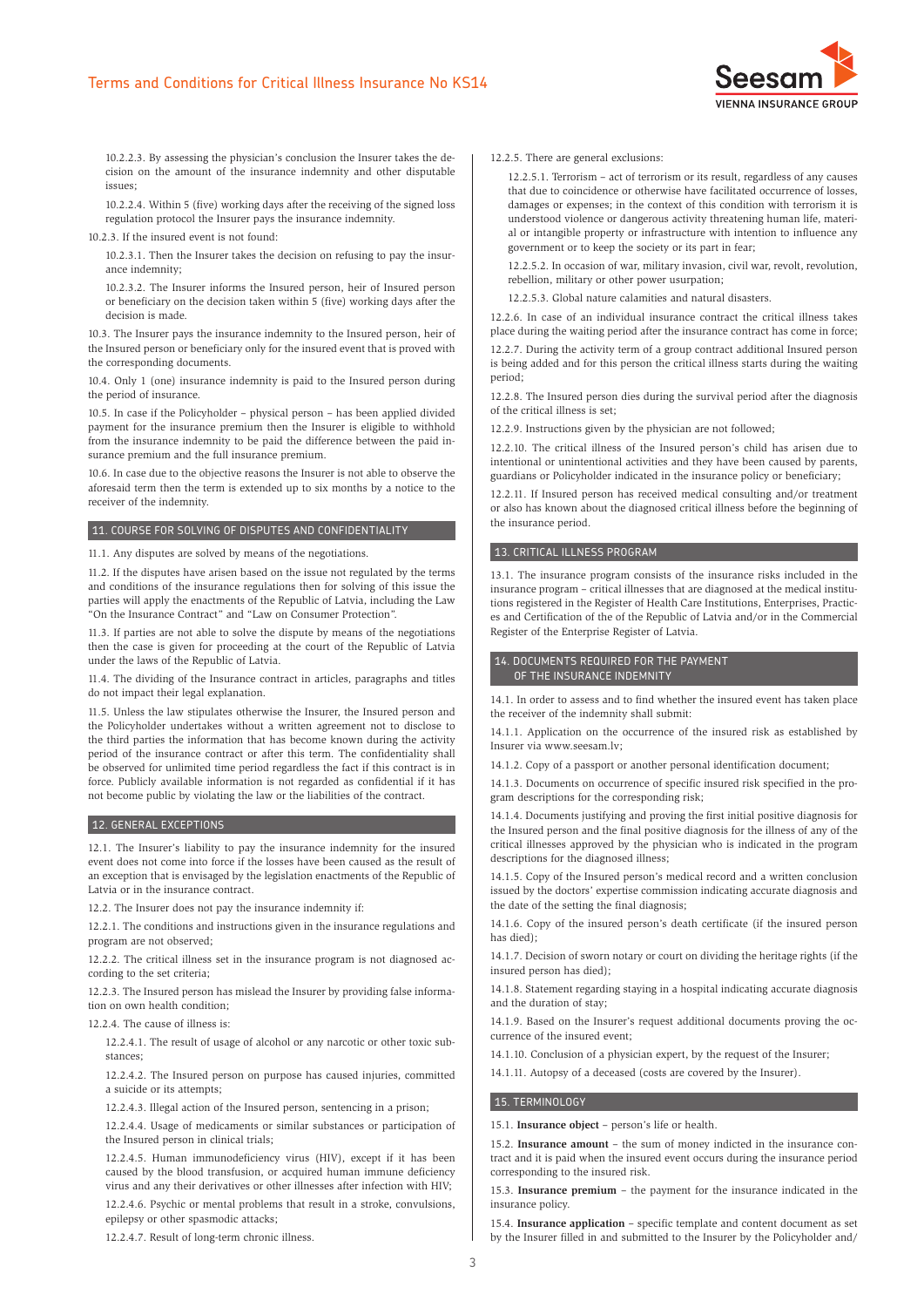

10.2.2.3. By assessing the physician's conclusion the Insurer takes the decision on the amount of the insurance indemnity and other disputable issues;

10.2.2.4. Within 5 (five) working days after the receiving of the signed loss regulation protocol the Insurer pays the insurance indemnity.

10.2.3. If the insured event is not found:

10.2.3.1. Then the Insurer takes the decision on refusing to pay the insurance indemnity;

10.2.3.2. The Insurer informs the Insured person, heir of Insured person or beneficiary on the decision taken within 5 (five) working days after the decision is made.

10.3. The Insurer pays the insurance indemnity to the Insured person, heir of the Insured person or beneficiary only for the insured event that is proved with the corresponding documents.

10.4. Only 1 (one) insurance indemnity is paid to the Insured person during the period of insurance.

10.5. In case if the Policyholder – physical person – has been applied divided payment for the insurance premium then the Insurer is eligible to withhold from the insurance indemnity to be paid the difference between the paid insurance premium and the full insurance premium.

10.6. In case due to the objective reasons the Insurer is not able to observe the aforesaid term then the term is extended up to six months by a notice to the receiver of the indemnity.

## 11. COURSE FOR SOLVING OF DISPUTES AND CONFIDENTIALITY

11.1. Any disputes are solved by means of the negotiations.

11.2. If the disputes have arisen based on the issue not regulated by the terms and conditions of the insurance regulations then for solving of this issue the parties will apply the enactments of the Republic of Latvia, including the Law "On the Insurance Contract" and "Law on Consumer Protection".

11.3. If parties are not able to solve the dispute by means of the negotiations then the case is given for proceeding at the court of the Republic of Latvia under the laws of the Republic of Latvia.

11.4. The dividing of the Insurance contract in articles, paragraphs and titles do not impact their legal explanation.

11.5. Unless the law stipulates otherwise the Insurer, the Insured person and the Policyholder undertakes without a written agreement not to disclose to the third parties the information that has become known during the activity period of the insurance contract or after this term. The confidentiality shall be observed for unlimited time period regardless the fact if this contract is in force. Publicly available information is not regarded as confidential if it has not become public by violating the law or the liabilities of the contract.

## 12. GENERAL EXCEPTIONS

12.1. The Insurer's liability to pay the insurance indemnity for the insured event does not come into force if the losses have been caused as the result of an exception that is envisaged by the legislation enactments of the Republic of Latvia or in the insurance contract.

12.2. The Insurer does not pay the insurance indemnity if:

12.2.1. The conditions and instructions given in the insurance regulations and program are not observed;

12.2.2. The critical illness set in the insurance program is not diagnosed according to the set criteria;

12.2.3. The Insured person has mislead the Insurer by providing false information on own health condition;

12.2.4. The cause of illness is:

12.2.4.1. The result of usage of alcohol or any narcotic or other toxic substances;

12.2.4.2. The Insured person on purpose has caused injuries, committed a suicide or its attempts;

12.2.4.3. Illegal action of the Insured person, sentencing in a prison;

12.2.4.4. Usage of medicaments or similar substances or participation of the Insured person in clinical trials;

12.2.4.5. Human immunodeficiency virus (HIV), except if it has been caused by the blood transfusion, or acquired human immune deficiency virus and any their derivatives or other illnesses after infection with HIV; 12.2.4.6. Psychic or mental problems that result in a stroke, convulsions, epilepsy or other spasmodic attacks;

12.2.4.7. Result of long-term chronic illness.

12.2.5. There are general exclusions:

12.2.5.1. Terrorism – act of terrorism or its result, regardless of any causes that due to coincidence or otherwise have facilitated occurrence of losses, damages or expenses; in the context of this condition with terrorism it is understood violence or dangerous activity threatening human life, material or intangible property or infrastructure with intention to influence any government or to keep the society or its part in fear;

12.2.5.2. In occasion of war, military invasion, civil war, revolt, revolution, rebellion, military or other power usurpation;

12.2.5.3. Global nature calamities and natural disasters.

12.2.6. In case of an individual insurance contract the critical illness takes place during the waiting period after the insurance contract has come in force;

12.2.7. During the activity term of a group contract additional Insured person is being added and for this person the critical illness starts during the waiting period;

12.2.8. The Insured person dies during the survival period after the diagnosis of the critical illness is set;

12.2.9. Instructions given by the physician are not followed;

12.2.10. The critical illness of the Insured person's child has arisen due to intentional or unintentional activities and they have been caused by parents, guardians or Policyholder indicated in the insurance policy or beneficiary;

12.2.11. If Insured person has received medical consulting and/or treatment or also has known about the diagnosed critical illness before the beginning of the insurance period.

## 13. CRITICAL ILLNESS PROGRAM

13.1. The insurance program consists of the insurance risks included in the insurance program – critical illnesses that are diagnosed at the medical institutions registered in the Register of Health Care Institutions, Enterprises, Practices and Certification of the of the Republic of Latvia and/or in the Commercial Register of the Enterprise Register of Latvia.

# 14. DOCUMENTS REQUIRED FOR THE PAYMENT OF THE INSURANCE INDEMNITY

14.1. In order to assess and to find whether the insured event has taken place the receiver of the indemnity shall submit:

14.1.1. Application on the occurrence of the insured risk as established by Insurer via www.seesam.lv;

14.1.2. Copy of a passport or another personal identification document;

14.1.3. Documents on occurrence of specific insured risk specified in the program descriptions for the corresponding risk;

14.1.4. Documents justifying and proving the first initial positive diagnosis for the Insured person and the final positive diagnosis for the illness of any of the critical illnesses approved by the physician who is indicated in the program descriptions for the diagnosed illness;

14.1.5. Copy of the Insured person's medical record and a written conclusion issued by the doctors' expertise commission indicating accurate diagnosis and the date of the setting the final diagnosis;

14.1.6. Copy of the insured person's death certificate (if the insured person has died);

14.1.7. Decision of sworn notary or court on dividing the heritage rights (if the insured person has died);

14.1.8. Statement regarding staying in a hospital indicating accurate diagnosis and the duration of stay;

14.1.9. Based on the Insurer's request additional documents proving the occurrence of the insured event;

14.1.10. Conclusion of a physician expert, by the request of the Insurer;

14.1.11. Autopsy of a deceased (costs are covered by the Insurer).

## 15. TERMINOLOGY

15.1. **Insurance object** – person's life or health.

15.2. **Insurance amount** – the sum of money indicted in the insurance contract and it is paid when the insured event occurs during the insurance period corresponding to the insured risk.

15.3. **Insurance premium** – the payment for the insurance indicated in the insurance policy.

15.4. **Insurance application** – specific template and content document as set by the Insurer filled in and submitted to the Insurer by the Policyholder and/